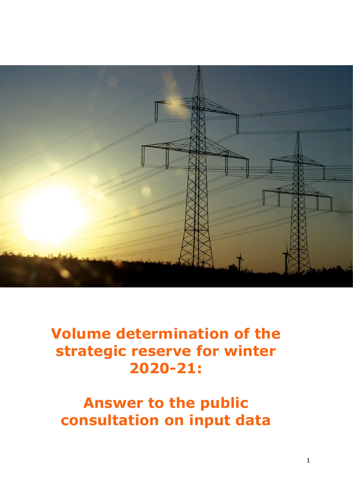

# **Volume determination of the strategic reserve for winter 2020-21:**

# **Answer to the public consultation on input data**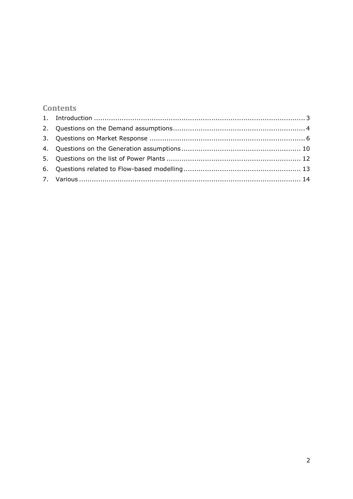### **Contents**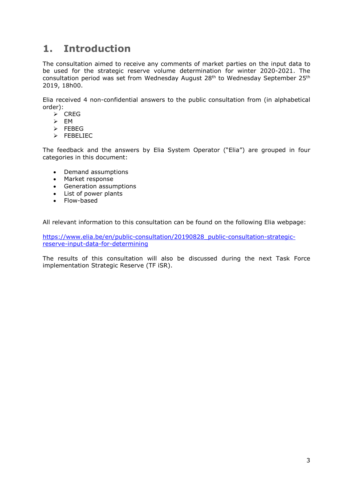### <span id="page-2-0"></span>**1. Introduction**

The consultation aimed to receive any comments of market parties on the input data to be used for the strategic reserve volume determination for winter 2020-2021. The consultation period was set from Wednesday August  $28<sup>th</sup>$  to Wednesday September  $25<sup>th</sup>$ 2019, 18h00.

Elia received 4 non-confidential answers to the public consultation from (in alphabetical order):

- $\triangleright$  CREG
- $\triangleright$  EM
- $\triangleright$  FEBEG
- FEBELIEC

The feedback and the answers by Elia System Operator ("Elia") are grouped in four categories in this document:

- Demand assumptions
- Market response
- Generation assumptions
- List of power plants
- Flow-based

All relevant information to this consultation can be found on the following Elia webpage:

[https://www.elia.be/en/public-consultation/20190828\\_public-consultation-strategic](https://www.elia.be/en/public-consultation/20190828_public-consultation-strategic-reserve-input-data-for-determining)[reserve-input-data-for-determining](https://www.elia.be/en/public-consultation/20190828_public-consultation-strategic-reserve-input-data-for-determining)

The results of this consultation will also be discussed during the next Task Force implementation Strategic Reserve (TF iSR).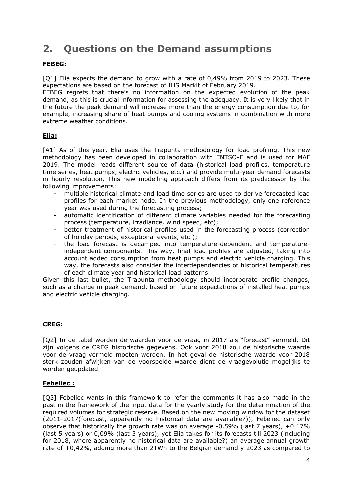### <span id="page-3-0"></span>**2. Questions on the Demand assumptions**

#### **FEBEG:**

[O1] Elia expects the demand to grow with a rate of 0,49% from 2019 to 2023. These expectations are based on the forecast of IHS Markit of February 2019.

FEBEG regrets that there's no information on the expected evolution of the peak demand, as this is crucial information for assessing the adequacy. It is very likely that in the future the peak demand will increase more than the energy consumption due to, for example, increasing share of heat pumps and cooling systems in combination with more extreme weather conditions.

#### **Elia:**

[A1] As of this year, Elia uses the Trapunta methodology for load profiling. This new methodology has been developed in collaboration with ENTSO-E and is used for MAF 2019. The model reads different source of data (historical load profiles, temperature time series, heat pumps, electric vehicles, etc.) and provide multi-year demand forecasts in hourly resolution. This new modelling approach differs from its predecessor by the following improvements:

- multiple historical climate and load time series are used to derive forecasted load profiles for each market node. In the previous methodology, only one reference year was used during the forecasting process;
- automatic identification of different climate variables needed for the forecasting process (temperature, irradiance, wind speed, etc);
- better treatment of historical profiles used in the forecasting process (correction of holiday periods, exceptional events, etc.);
- the load forecast is decamped into temperature-dependent and temperatureindependent components. This way, final load profiles are adjusted, taking into account added consumption from heat pumps and electric vehicle charging. This way, the forecasts also consider the interdependencies of historical temperatures of each climate year and historical load patterns.

Given this last bullet, the Trapunta methodology should incorporate profile changes, such as a change in peak demand, based on future expectations of installed heat pumps and electric vehicle charging.

#### **CREG:**

[Q2] In de tabel worden de waarden voor de vraag in 2017 als "forecast" vermeld. Dit zijn volgens de CREG historische gegevens. Ook voor 2018 zou de historische waarde voor de vraag vermeld moeten worden. In het geval de historische waarde voor 2018 sterk zouden afwijken van de voorspelde waarde dient de vraagevolutie mogelijks te worden geüpdated.

#### **Febeliec :**

[Q3] Febeliec wants in this framework to refer the comments it has also made in the past in the framework of the input data for the yearly study for the determination of the required volumes for strategic reserve. Based on the new moving window for the dataset (2011-2017(forecast, apparently no historical data are available?)), Febeliec can only observe that historically the growth rate was on average -0.59% (last 7 years), +0.17% (last 5 years) or 0,09% (last 3 years), yet Elia takes for its forecasts till 2023 (including for 2018, where apparently no historical data are available?) an average annual growth rate of +0,42%, adding more than 2TWh to the Belgian demand y 2023 as compared to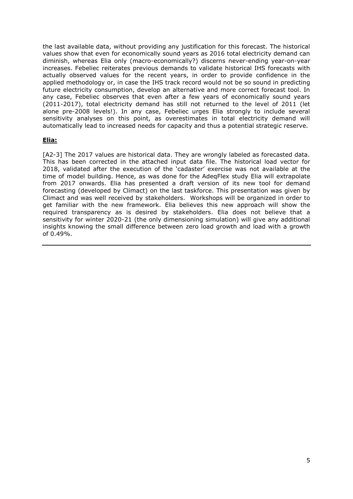the last available data, without providing any justification for this forecast. The historical values show that even for economically sound years as 2016 total electricity demand can diminish, whereas Elia only (macro-economically?) discerns never-ending year-on-year increases. Febeliec reiterates previous demands to validate historical IHS forecasts with actually observed values for the recent years, in order to provide confidence in the applied methodology or, in case the IHS track record would not be so sound in predicting future electricity consumption, develop an alternative and more correct forecast tool. In any case, Febeliec observes that even after a few years of economically sound years (2011-2017), total electricity demand has still not returned to the level of 2011 (let alone pre-2008 levels!). In any case, Febeliec urges Elia strongly to include several sensitivity analyses on this point, as overestimates in total electricity demand will automatically lead to increased needs for capacity and thus a potential strategic reserve.

#### **Elia:**

[A2-3] The 2017 values are historical data. They are wrongly labeled as forecasted data. This has been corrected in the attached input data file. The historical load vector for 2018, validated after the execution of the 'cadaster' exercise was not available at the time of model building. Hence, as was done for the AdeqFlex study Elia will extrapolate from 2017 onwards. Elia has presented a draft version of its new tool for demand forecasting (developed by Climact) on the last taskforce. This presentation was given by Climact and was well received by stakeholders. Workshops will be organized in order to get familiar with the new framework. Elia believes this new approach will show the required transparency as is desired by stakeholders. Elia does not believe that a sensitivity for winter 2020-21 (the only dimensioning simulation) will give any additional insights knowing the small difference between zero load growth and load with a growth of 0.49%.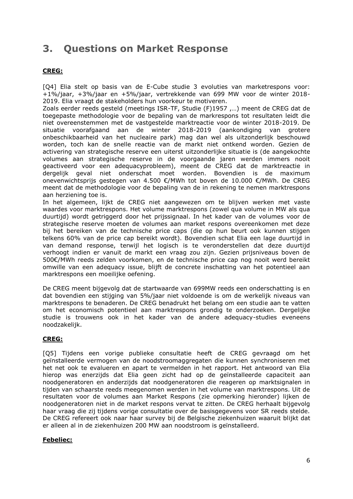### <span id="page-5-0"></span>**3. Questions on Market Response**

#### **CREG:**

[Q4] Elia stelt op basis van de E-Cube studie 3 evoluties van marketrespons voor: +1%/jaar, +3%/jaar en +5%/jaar, vertrekkende van 699 MW voor de winter 2018- 2019. Elia vraagt de stakeholders hun voorkeur te motiveren.

Zoals eerder reeds gesteld (meetings ISR-TF, Studie (F)1957 ,…) meent de CREG dat de toegepaste methodologie voor de bepaling van de markrespons tot resultaten leidt die niet overeenstemmen met de vastgestelde marktreactie voor de winter 2018-2019. De situatie voorafgaand aan de winter 2018-2019 (aankondiging van grotere onbeschikbaarheid van het nucleaire park) mag dan wel als uitzonderlijk beschouwd worden, toch kan de snelle reactie van de markt niet ontkend worden. Gezien de activering van strategische reserve een uiterst uitzonderlijke situatie is (de aangekochte volumes aan strategische reserve in de voorgaande jaren werden immers nooit geactiveerd voor een adequacyprobleem), meent de CREG dat de marktreactie in dergelijk geval niet onderschat moet worden. Bovendien is de maximum onevenwichtsprijs gestegen van 4.500 €/MWh tot boven de 10.000 €/MWh. De CREG meent dat de methodologie voor de bepaling van de in rekening te nemen marktrespons aan herziening toe is.

In het algemeen, lijkt de CREG niet aangewezen om te blijven werken met vaste waardes voor marktrespons. Het volume marktrespons (zowel qua volume in MW als qua duurtijd) wordt getriggerd door het prijssignaal. In het kader van de volumes voor de strategische reserve moeten de volumes aan market respons overeenkomen met deze bij het bereiken van de technische price caps (die op hun beurt ook kunnen stijgen telkens 60% van de price cap bereikt wordt). Bovendien schat Elia een lage duurtijd in van demand response, terwijl het logisch is te veronderstellen dat deze duurtijd verhoogt indien er vanuit de markt een vraag zou zijn. Gezien prijsniveaus boven de 500€/MWh reeds zelden voorkomen, en de technische price cap nog nooit werd bereikt omwille van een adequacy issue, blijft de concrete inschatting van het potentieel aan marktrespons een moeilijke oefening.

De CREG meent bijgevolg dat de startwaarde van 699MW reeds een onderschatting is en dat bovendien een stijging van 5%/jaar niet voldoende is om de werkelijk niveaus van marktrespons te benaderen. De CREG benadrukt het belang om een studie aan te vatten om het economisch potentieel aan marktrespons grondig te onderzoeken. Dergelijke studie is trouwens ook in het kader van de andere adequacy-studies eveneens noodzakelijk.

#### **CREG:**

[Q5] Tijdens een vorige publieke consultatie heeft de CREG gevraagd om het geïnstalleerde vermogen van de noodstroomaggregaten die kunnen synchroniseren met het net ook te evalueren en apart te vermelden in het rapport. Het antwoord van Elia hierop was enerzijds dat Elia geen zicht had op de geïnstalleerde capaciteit aan noodgeneratoren en anderzijds dat noodgeneratoren die reageren op marktsignalen in tijden van schaarste reeds meegenomen werden in het volume van marktrespons. Uit de resultaten voor de volumes aan Market Respons (zie opmerking hieronder) lijken de noodgeneratoren niet in de market respons vervat te zitten. De CREG herhaalt bijgevolg haar vraag die zij tijdens vorige consultatie over de basisgegevens voor SR reeds stelde. De CREG refereert ook naar haar survey bij de Belgische ziekenhuizen waaruit blijkt dat er alleen al in de ziekenhuizen 200 MW aan noodstroom is geïnstalleerd.

#### **Febeliec:**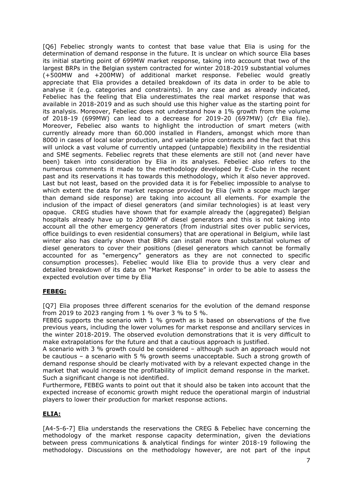[Q6] Febeliec strongly wants to contest that base value that Elia is using for the determination of demand response in the future. It is unclear on which source Elia bases its initial starting point of 699MW market response, taking into account that two of the largest BRPs in the Belgian system contracted for winter 2018-2019 substantial volumes (+500MW and +200MW) of additional market response. Febeliec would greatly appreciate that Elia provides a detailed breakdown of its data in order to be able to analyse it (e.g. categories and constraints). In any case and as already indicated, Febeliec has the feeling that Elia underestimates the real market response that was available in 2018-2019 and as such should use this higher value as the starting point for its analysis. Moreover, Febeliec does not understand how a 1% growth from the volume of 2018-19 (699MW) can lead to a decrease for 2019-20 (697MW) (cfr Elia file). Moreover, Febeliec also wants to highlight the introduction of smart meters (with currently already more than 60.000 installed in Flanders, amongst which more than 8000 in cases of local solar production, and variable price contracts and the fact that this will unlock a vast volume of currently untapped (untappable) flexibility in the residential and SME segments. Febeliec regrets that these elements are still not (and never have been) taken into consideration by Elia in its analyses. Febeliec also refers to the numerous comments it made to the methodology developed by E-Cube in the recent past and its reservations it has towards this methodology, which it also never approved. Last but not least, based on the provided data it is for Febeliec impossible to analyse to which extent the data for market response provided by Elia (with a scope much larger than demand side response) are taking into account all elements. For example the inclusion of the impact of diesel generators (and similar technologies) is at least very opaque. CREG studies have shown that for example already the (aggregated) Belgian hospitals already have up to 200MW of diesel generators and this is not taking into account all the other emergency generators (from industrial sites over public services, office buildings to even residential consumers) that are operational in Belgium, while last winter also has clearly shown that BRPs can install more than substantial volumes of diesel generators to cover their positions (diesel generators which cannot be formally accounted for as "emergency" generators as they are not connected to specific consumption processes). Febeliec would like Elia to provide thus a very clear and detailed breakdown of its data on "Market Response" in order to be able to assess the expected evolution over time by Elia

#### **FEBEG:**

[Q7] Elia proposes three different scenarios for the evolution of the demand response from 2019 to 2023 ranging from 1 % over 3 % to 5 %.

FEBEG supports the scenario with 1 % growth as is based on observations of the five previous years, including the lower volumes for market response and ancillary services in the winter 2018-2019. The observed evolution demonstrations that it is very difficult to make extrapolations for the future and that a cautious approach is justified.

A scenario with 3 % growth could be considered – although such an approach would not be cautious – a scenario with 5 % growth seems unacceptable. Such a strong growth of demand response should be clearly motivated with by a relevant expected change in the market that would increase the profitability of implicit demand response in the market. Such a significant change is not identified.

Furthermore, FEBEG wants to point out that it should also be taken into account that the expected increase of economic growth might reduce the operational margin of industrial players to lower their production for market response actions.

#### **ELIA:**

[A4-5-6-7] Elia understands the reservations the CREG & Febeliec have concerning the methodology of the market response capacity determination, given the deviations between press communications & analytical findings for winter 2018-19 following the methodology. Discussions on the methodology however, are not part of the input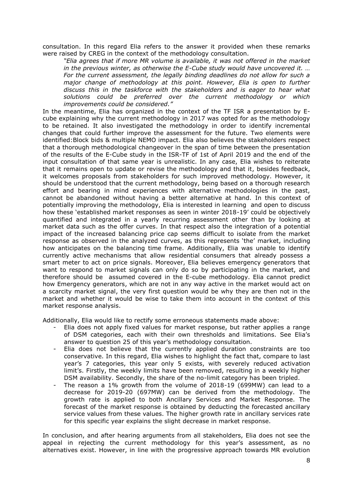consultation. In this regard Elia refers to the answer it provided when these remarks were raised by CREG in the context of the methodology consultation.

*"Elia agrees that if more MR volume is available, it was not offered in the market in the previous winter, as otherwise the E-Cube study would have uncovered it. … For the current assessment, the legally binding deadlines do not allow for such a major change of methodology at this point. However, Elia is open to further discuss this in the taskforce with the stakeholders and is eager to hear what solutions could be preferred over the current methodology or which improvements could be considered."*

In the meantime, Elia has organized in the context of the TF ISR a presentation by Ecube explaining why the current methodology in 2017 was opted for as the methodology to be retained. It also investigated the methodology in order to identify incremental changes that could further improve the assessment for the future. Two elements were identified:Block bids & multiple NEMO impact. Elia also believes the stakeholders respect that a thorough methodological changeover in the span of time between the presentation of the results of the E-Cube study in the ISR-TF of 1st of April 2019 and the end of the input consultation of that same year is unrealistic. In any case, Elia wishes to reiterate that it remains open to update or revise the methodology and that it, besides feedback, it welcomes proposals from stakeholders for such improved methodology. However, it should be understood that the current methodology, being based on a thorough research effort and bearing in mind experiences with alternative methodologies in the past, cannot be abandoned without having a better alternative at hand. In this context of potentially improving the methodology, Elia is interested in learning and open to discuss how these 'established market responses as seen in winter 2018-19' could be objectively quantified and integrated in a yearly recurring assessment other than by looking at market data such as the offer curves. In that respect also the integration of a potential impact of the increased balancing price cap seems difficult to isolate from the market response as observed in the analyzed curves, as this represents 'the' market, including how anticipates on the balancing time frame. Additionally, Elia was unable to identify currently active mechanisms that allow residential consumers that already possess a smart meter to act on price signals. Moreover, Elia believes emergency generators that want to respond to market signals can only do so by participating in the market, and therefore should be assumed covered in the E-cube methodology. Elia cannot predict how Emergency generators, which are not in any way active in the market would act on a scarcity market signal, the very first question would be why they are then not in the market and whether it would be wise to take them into account in the context of this market response analysis.

Additionally, Elia would like to rectify some erroneous statements made above:

- Elia does not apply fixed values for market response, but rather applies a range of DSM categories, each with their own thresholds and limitations. See Elia's answer to question 25 of this year's methodology consultation.
- Elia does not believe that the currently applied duration constraints are too conservative. In this regard, Elia wishes to highlight the fact that, compare to last year's 7 categories, this year only 5 exists, with severely reduced activation limit's. Firstly, the weekly limits have been removed, resulting in a weekly higher DSM availability. Secondly, the share of the no-limit category has been tripled.
- The reason a  $1\%$  growth from the volume of 2018-19 (699MW) can lead to a decrease for 2019-20 (697MW) can be derived from the methodology. The growth rate is applied to both Ancillary Services and Market Response. The forecast of the market response is obtained by deducting the forecasted ancillary service values from these values. The higher growth rate in ancillary services rate for this specific year explains the slight decrease in market response.

In conclusion, and after hearing arguments from all stakeholders, Elia does not see the appeal in rejecting the current methodology for this year's assessment, as no alternatives exist. However, in line with the progressive approach towards MR evolution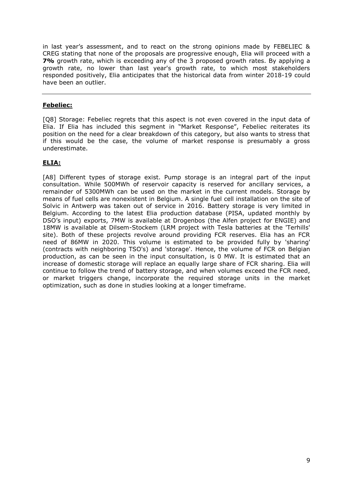in last year's assessment, and to react on the strong opinions made by FEBELIEC & CREG stating that none of the proposals are progressive enough, Elia will proceed with a **7%** growth rate, which is exceeding any of the 3 proposed growth rates. By applying a growth rate, no lower than last year's growth rate, to which most stakeholders responded positively, Elia anticipates that the historical data from winter 2018-19 could have been an outlier.

#### **Febeliec:**

[Q8] Storage: Febeliec regrets that this aspect is not even covered in the input data of Elia. If Elia has included this segment in "Market Response", Febeliec reiterates its position on the need for a clear breakdown of this category, but also wants to stress that if this would be the case, the volume of market response is presumably a gross underestimate.

#### **ELIA:**

[A8] Different types of storage exist. Pump storage is an integral part of the input consultation. While 500MWh of reservoir capacity is reserved for ancillary services, a remainder of 5300MWh can be used on the market in the current models. Storage by means of fuel cells are nonexistent in Belgium. A single fuel cell installation on the site of Solvic in Antwerp was taken out of service in 2016. Battery storage is very limited in Belgium. According to the latest Elia production database (PISA, updated monthly by DSO's input) exports, 7MW is available at Drogenbos (the Alfen project for ENGIE) and 18MW is available at Dilsem-Stockem (LRM project with Tesla batteries at the 'Terhills' site). Both of these projects revolve around providing FCR reserves. Elia has an FCR need of 86MW in 2020. This volume is estimated to be provided fully by 'sharing' (contracts with neighboring TSO's) and 'storage'. Hence, the volume of FCR on Belgian production, as can be seen in the input consultation, is 0 MW. It is estimated that an increase of domestic storage will replace an equally large share of FCR sharing. Elia will continue to follow the trend of battery storage, and when volumes exceed the FCR need, or market triggers change, incorporate the required storage units in the market optimization, such as done in studies looking at a longer timeframe.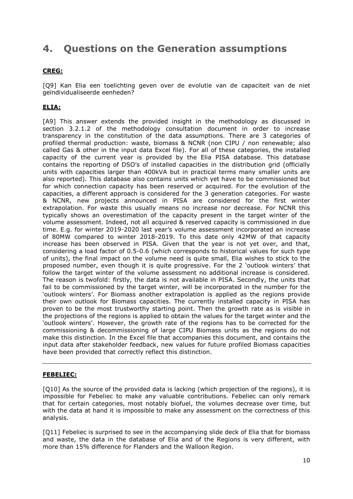### <span id="page-9-0"></span>**4. Questions on the Generation assumptions**

#### **CREG:**

[Q9] Kan Elia een toelichting geven over de evolutie van de capaciteit van de niet geïndividualiseerde eenheden?

#### **ELIA:**

[A9] This answer extends the provided insight in the methodology as discussed in section 3.2.1.2 of the methodology consultation document in order to increase transparency in the constitution of the data assumptions. There are 3 categories of profiled thermal production: waste, biomass & NCNR (non CIPU / non renewable; also called Gas & other in the input data Excel file). For all of these categories, the installed capacity of the current year is provided by the Elia PISA database. This database contains the reporting of DSO's of installed capacities in the distribution grid (officially units with capacities larger than 400kVA but in practical terms many smaller units are also reported). This database also contains units which yet have to be commissioned but for which connection capacity has been reserved or acquired. For the evolution of the capacities, a different approach is considered for the 3 generation categories. For waste & NCNR, new projects announced in PISA are considered for the first winter extrapolation. For waste this usually means no increase nor decrease. For NCNR this typically shows an overestimation of the capacity present in the target winter of the volume assessment. Indeed, not all acquired & reserved capacity is commissioned in due time. E.g. for winter 2019-2020 last year's volume assessment incorporated an increase of 80MW compared to winter 2018-2019. To this date only 42MW of that capacity increase has been observed in PISA. Given that the year is not yet over, and that, considering a load factor of 0.5-0.6 (which corresponds to historical values for such type of units), the final impact on the volume need is quite small, Elia wishes to stick to the proposed number, even though it is quite progressive. For the 2 'outlook winters' that follow the target winter of the volume assessment no additional increase is considered. The reason is twofold: firstly, the data is not available in PISA. Secondly, the units that fail to be commissioned by the target winter, will be incorporated in the number for the 'outlook winters'. For Biomass another extrapolation is applied as the regions provide their own outlook for Biomass capacities. The currently installed capacity in PISA has proven to be the most trustworthy starting point. Then the growth rate as is visible in the projections of the regions is applied to obtain the values for the target winter and the 'outlook winters'. However, the growth rate of the regions has to be corrected for the commissioning & decommissioning of large CIPU Biomass units as the regions do not make this distinction. In the Excel file that accompanies this document, and contains the input data after stakeholder feedback, new values for future profiled Biomass capacities have been provided that correctly reflect this distinction.

#### **FEBELIEC:**

[O10] As the source of the provided data is lacking (which projection of the regions), it is impossible for Febeliec to make any valuable contributions. Febeliec can only remark that for certain categories, most notably biofuel, the volumes decrease over time, but with the data at hand it is impossible to make any assessment on the correctness of this analysis.

[Q11] Febeliec is surprised to see in the accompanying slide deck of Elia that for biomass and waste, the data in the database of Elia and of the Regions is very different, with more than 15% difference for Flanders and the Walloon Region.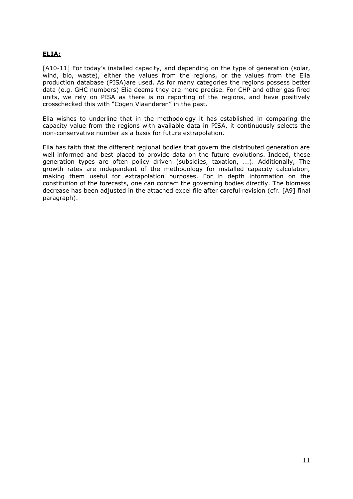#### **ELIA:**

[A10-11] For today's installed capacity, and depending on the type of generation (solar, wind, bio, waste), either the values from the regions, or the values from the Elia production database (PISA)are used. As for many categories the regions possess better data (e.g. GHC numbers) Elia deems they are more precise. For CHP and other gas fired units, we rely on PISA as there is no reporting of the regions, and have positively crosschecked this with "Cogen Vlaanderen" in the past.

Elia wishes to underline that in the methodology it has established in comparing the capacity value from the regions with available data in PISA, it continuously selects the non-conservative number as a basis for future extrapolation.

Elia has faith that the different regional bodies that govern the distributed generation are well informed and best placed to provide data on the future evolutions. Indeed, these generation types are often policy driven (subsidies, taxation, ...). Additionally, The growth rates are independent of the methodology for installed capacity calculation, making them useful for extrapolation purposes. For in depth information on the constitution of the forecasts, one can contact the governing bodies directly. The biomass decrease has been adjusted in the attached excel file after careful revision (cfr. [A9] final paragraph).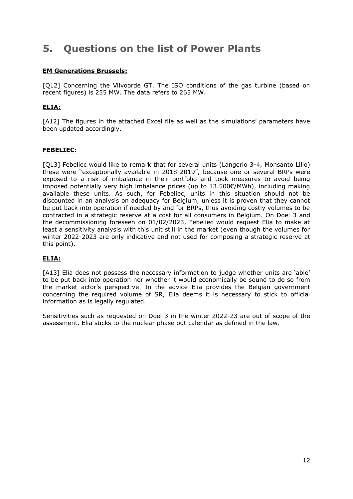## <span id="page-11-0"></span>**5. Questions on the list of Power Plants**

#### **EM Generations Brussels:**

[Q12] Concerning the Vilvoorde GT. The ISO conditions of the gas turbine (based on recent figures) is 255 MW. The data refers to 265 MW.

#### **ELIA:**

[A12] The figures in the attached Excel file as well as the simulations' parameters have been updated accordingly.

#### **FEBELIEC:**

[Q13] Febeliec would like to remark that for several units (Langerlo 3-4, Monsanto Lillo) these were "exceptionally available in 2018-2019", because one or several BRPs were exposed to a risk of imbalance in their portfolio and took measures to avoid being imposed potentially very high imbalance prices (up to 13.500€/MWh), including making available these units. As such, for Febeliec, units in this situation should not be discounted in an analysis on adequacy for Belgium, unless it is proven that they cannot be put back into operation if needed by and for BRPs, thus avoiding costly volumes to be contracted in a strategic reserve at a cost for all consumers in Belgium. On Doel 3 and the decommissioning foreseen on 01/02/2023, Febeliec would request Elia to make at least a sensitivity analysis with this unit still in the market (even though the volumes for winter 2022-2023 are only indicative and not used for composing a strategic reserve at this point).

#### **ELIA:**

[A13] Elia does not possess the necessary information to judge whether units are 'able' to be put back into operation nor whether it would economically be sound to do so from the market actor's perspective. In the advice Elia provides the Belgian government concerning the required volume of SR, Elia deems it is necessary to stick to official information as is legally regulated.

Sensitivities such as requested on Doel 3 in the winter 2022-23 are out of scope of the assessment. Elia sticks to the nuclear phase out calendar as defined in the law.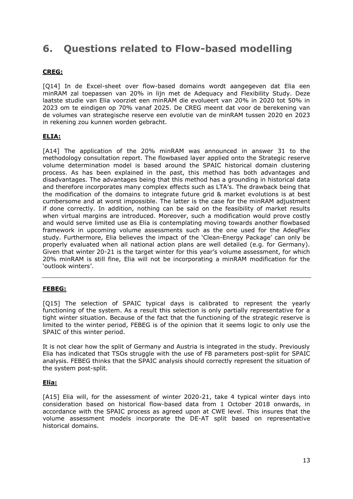## <span id="page-12-0"></span>**6. Questions related to Flow-based modelling**

#### **CREG:**

[Q14] In de Excel-sheet over flow-based domains wordt aangegeven dat Elia een minRAM zal toepassen van 20% in lijn met de Adequacy and Flexibility Study. Deze laatste studie van Elia voorziet een minRAM die evolueert van 20% in 2020 tot 50% in 2023 om te eindigen op 70% vanaf 2025. De CREG meent dat voor de berekening van de volumes van strategische reserve een evolutie van de minRAM tussen 2020 en 2023 in rekening zou kunnen worden gebracht.

#### **ELIA:**

[A14] The application of the 20% minRAM was announced in answer 31 to the methodology consultation report. The flowbased layer applied onto the Strategic reserve volume determination model is based around the SPAIC historical domain clustering process. As has been explained in the past, this method has both advantages and disadvantages. The advantages being that this method has a grounding in historical data and therefore incorporates many complex effects such as LTA's. The drawback being that the modification of the domains to integrate future grid & market evolutions is at best cumbersome and at worst impossible. The latter is the case for the minRAM adjustment if done correctly. In addition, nothing can be said on the feasibility of market results when virtual margins are introduced. Moreover, such a modification would prove costly and would serve limited use as Elia is contemplating moving towards another flowbased framework in upcoming volume assessments such as the one used for the AdeqFlex study. Furthermore, Elia believes the impact of the 'Clean-Energy Package' can only be properly evaluated when all national action plans are well detailed (e.g. for Germany). Given that winter 20-21 is the target winter for this year's volume assessment, for which 20% minRAM is still fine, Elia will not be incorporating a minRAM modification for the 'outlook winters'.

#### **FEBEG:**

[Q15] The selection of SPAIC typical days is calibrated to represent the yearly functioning of the system. As a result this selection is only partially representative for a tight winter situation. Because of the fact that the functioning of the strategic reserve is limited to the winter period, FEBEG is of the opinion that it seems logic to only use the SPAIC of this winter period.

It is not clear how the split of Germany and Austria is integrated in the study. Previously Elia has indicated that TSOs struggle with the use of FB parameters post-split for SPAIC analysis. FEBEG thinks that the SPAIC analysis should correctly represent the situation of the system post-split.

#### **Elia:**

[A15] Elia will, for the assessment of winter 2020-21, take 4 typical winter days into consideration based on historical flow-based data from 1 October 2018 onwards, in accordance with the SPAIC process as agreed upon at CWE level. This insures that the volume assessment models incorporate the DE-AT split based on representative historical domains.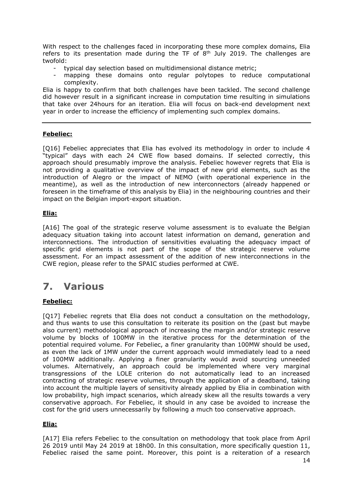With respect to the challenges faced in incorporating these more complex domains, Elia refers to its presentation made during the TF of  $8<sup>th</sup>$  July 2019. The challenges are twofold:

- typical day selection based on multidimensional distance metric;
- mapping these domains onto regular polytopes to reduce computational complexity.

Elia is happy to confirm that both challenges have been tackled. The second challenge did however result in a significant increase in computation time resulting in simulations that take over 24hours for an iteration. Elia will focus on back-end development next year in order to increase the efficiency of implementing such complex domains.

#### **Febeliec:**

[Q16] Febeliec appreciates that Elia has evolved its methodology in order to include 4 "typical" days with each 24 CWE flow based domains. If selected correctly, this approach should presumably improve the analysis. Febeliec however regrets that Elia is not providing a qualitative overview of the impact of new grid elements, such as the introduction of Alegro or the impact of NEMO (with operational experience in the meantime), as well as the introduction of new interconnectors (already happened or foreseen in the timeframe of this analysis by Elia) in the neighbouring countries and their impact on the Belgian import-export situation.

#### **Elia:**

[A16] The goal of the strategic reserve volume assessment is to evaluate the Belgian adequacy situation taking into account latest information on demand, generation and interconnections. The introduction of sensitivities evaluating the adequacy impact of specific grid elements is not part of the scope of the strategic reserve volume assessment. For an impact assessment of the addition of new interconnections in the CWE region, please refer to the SPAIC studies performed at CWE.

### <span id="page-13-0"></span>**7. Various**

#### **Febeliec:**

[Q17] Febeliec regrets that Elia does not conduct a consultation on the methodology, and thus wants to use this consultation to reiterate its position on the (past but maybe also current) methodological approach of increasing the margin and/or strategic reserve volume by blocks of 100MW in the iterative process for the determination of the potential required volume. For Febeliec, a finer granularity than 100MW should be used, as even the lack of 1MW under the current approach would immediately lead to a need of 100MW additionally. Applying a finer granularity would avoid sourcing unneeded volumes. Alternatively, an approach could be implemented where very marginal transgressions of the LOLE criterion do not automatically lead to an increased contracting of strategic reserve volumes, through the application of a deadband, taking into account the multiple layers of sensitivity already applied by Elia in combination with low probability, high impact scenarios, which already skew all the results towards a very conservative approach. For Febeliec, it should in any case be avoided to increase the cost for the grid users unnecessarily by following a much too conservative approach.

#### **Elia:**

[A17] Elia refers Febeliec to the consultation on methodology that took place from April 26 2019 until May 24 2019 at 18h00. In this consultation, more specifically question 11, Febeliec raised the same point. Moreover, this point is a reiteration of a research